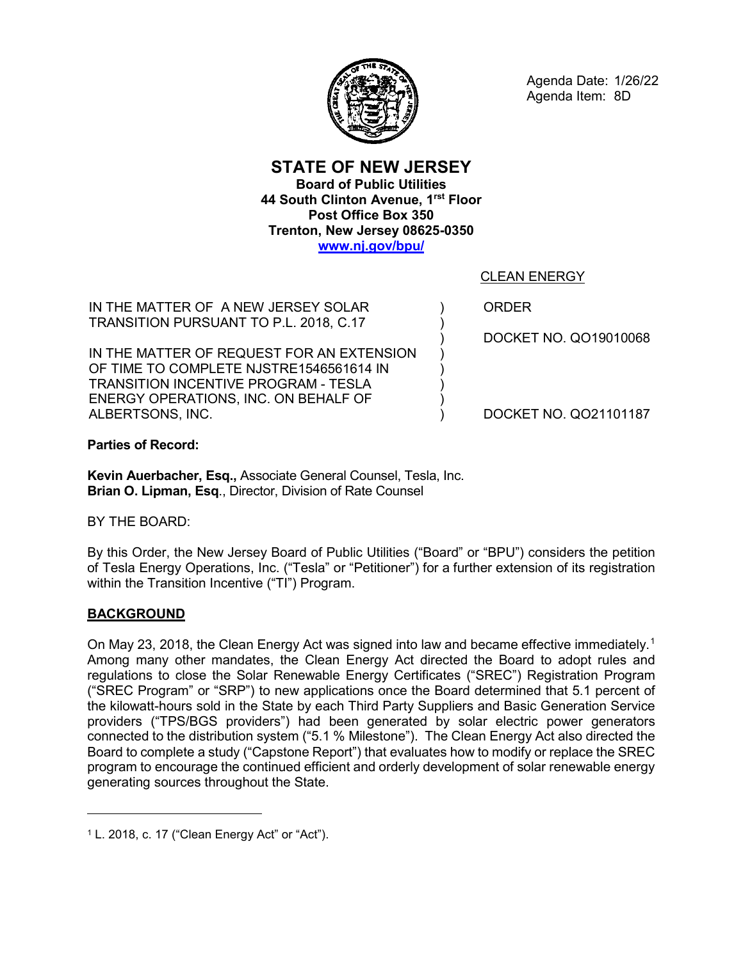

Agenda Date: 1/26/22 Agenda Item: 8D

**STATE OF NEW JERSEY Board of Public Utilities 44 South Clinton Avenue, 1rst Floor Post Office Box 350 Trenton, New Jersey 08625-0350 [www.nj.gov/bpu/](http://www.nj.gov/bpu/)**

CLEAN ENERGY

IN THE MATTER OF A NEW JERSEY SOLAR TRANSITION PURSUANT TO P.L. 2018, C.17

IN THE MATTER OF REQUEST FOR AN EXTENSION OF TIME TO COMPLETE NJSTRE1546561614 IN TRANSITION INCENTIVE PROGRAM - TESLA ENERGY OPERATIONS, INC. ON BEHALF OF ALBERTSONS, INC.

ORDER

) ) ) ) ) ) ) )

DOCKET NO. QO19010068

DOCKET NO. QO21101187

**Parties of Record:**

**Kevin Auerbacher, Esq.,** Associate General Counsel, Tesla, Inc. **Brian O. Lipman, Esq**., Director, Division of Rate Counsel

BY THE BOARD:

By this Order, the New Jersey Board of Public Utilities ("Board" or "BPU") considers the petition of Tesla Energy Operations, Inc. ("Tesla" or "Petitioner") for a further extension of its registration within the Transition Incentive ("TI") Program.

# **BACKGROUND**

 $\overline{a}$ 

On May 23, 20[1](#page-0-0)8, the Clean Energy Act was signed into law and became effective immediately.<sup>1</sup> Among many other mandates, the Clean Energy Act directed the Board to adopt rules and regulations to close the Solar Renewable Energy Certificates ("SREC") Registration Program ("SREC Program" or "SRP") to new applications once the Board determined that 5.1 percent of the kilowatt-hours sold in the State by each Third Party Suppliers and Basic Generation Service providers ("TPS/BGS providers") had been generated by solar electric power generators connected to the distribution system ("5.1 % Milestone"). The Clean Energy Act also directed the Board to complete a study ("Capstone Report") that evaluates how to modify or replace the SREC program to encourage the continued efficient and orderly development of solar renewable energy generating sources throughout the State.

<span id="page-0-0"></span> $1$  L. 2018, c. 17 ("Clean Energy Act" or "Act").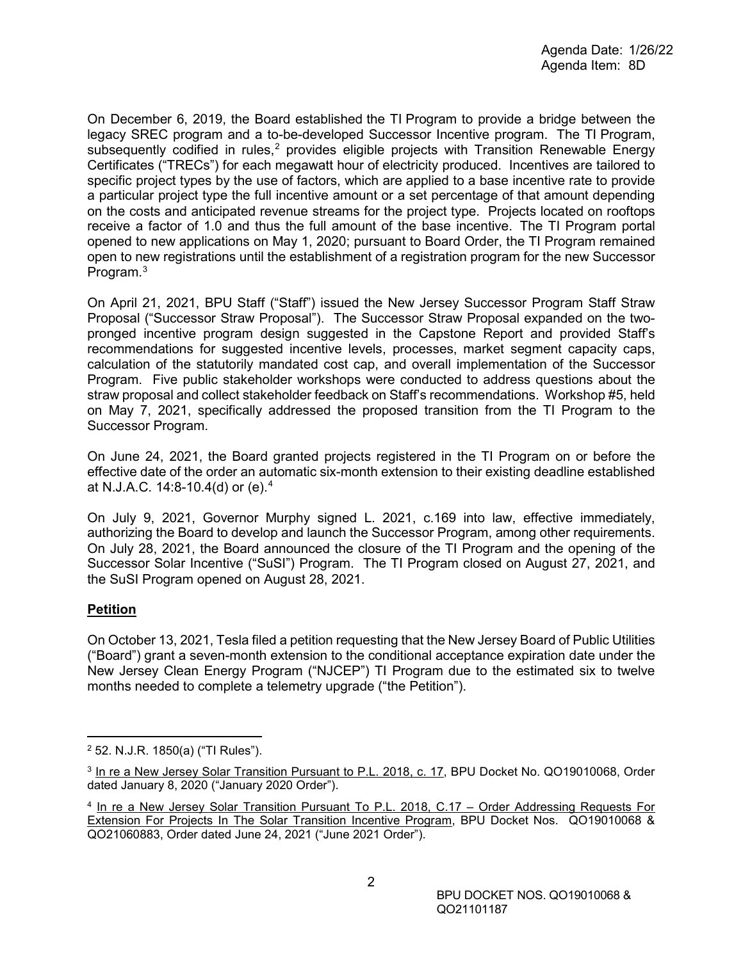On December 6, 2019, the Board established the TI Program to provide a bridge between the legacy SREC program and a to-be-developed Successor Incentive program. The TI Program, subsequently codified in rules,<sup>[2](#page-1-0)</sup> provides eligible projects with Transition Renewable Energy Certificates ("TRECs") for each megawatt hour of electricity produced. Incentives are tailored to specific project types by the use of factors, which are applied to a base incentive rate to provide a particular project type the full incentive amount or a set percentage of that amount depending on the costs and anticipated revenue streams for the project type. Projects located on rooftops receive a factor of 1.0 and thus the full amount of the base incentive. The TI Program portal opened to new applications on May 1, 2020; pursuant to Board Order, the TI Program remained open to new registrations until the establishment of a registration program for the new Successor Program.<sup>[3](#page-1-1)</sup>

On April 21, 2021, BPU Staff ("Staff") issued the New Jersey Successor Program Staff Straw Proposal ("Successor Straw Proposal"). The Successor Straw Proposal expanded on the twopronged incentive program design suggested in the Capstone Report and provided Staff's recommendations for suggested incentive levels, processes, market segment capacity caps, calculation of the statutorily mandated cost cap, and overall implementation of the Successor Program. Five public stakeholder workshops were conducted to address questions about the straw proposal and collect stakeholder feedback on Staff's recommendations. Workshop #5, held on May 7, 2021, specifically addressed the proposed transition from the TI Program to the Successor Program.

On June 24, 2021, the Board granted projects registered in the TI Program on or before the effective date of the order an automatic six-month extension to their existing deadline established at N.J.A.C. 14:8-10.4(d) or (e).[4](#page-1-2)

On July 9, 2021, Governor Murphy signed L. 2021, c.169 into law, effective immediately, authorizing the Board to develop and launch the Successor Program, among other requirements. On July 28, 2021, the Board announced the closure of the TI Program and the opening of the Successor Solar Incentive ("SuSI") Program. The TI Program closed on August 27, 2021, and the SuSI Program opened on August 28, 2021.

# **Petition**

On October 13, 2021, Tesla filed a petition requesting that the New Jersey Board of Public Utilities ("Board") grant a seven-month extension to the conditional acceptance expiration date under the New Jersey Clean Energy Program ("NJCEP") TI Program due to the estimated six to twelve months needed to complete a telemetry upgrade ("the Petition").

<span id="page-1-0"></span> <sup>2</sup> 52. N.J.R. 1850(a) ("TI Rules").

<span id="page-1-1"></span><sup>&</sup>lt;sup>3</sup> In re a New Jersey Solar Transition Pursuant to P.L. 2018, c. 17, BPU Docket No. QO19010068, Order dated January 8, 2020 ("January 2020 Order").

<span id="page-1-2"></span><sup>4</sup> In re a New Jersey Solar Transition Pursuant To P.L. 2018, C.17 – Order Addressing Requests For Extension For Projects In The Solar Transition Incentive Program, BPU Docket Nos. QO19010068 & QO21060883, Order dated June 24, 2021 ("June 2021 Order").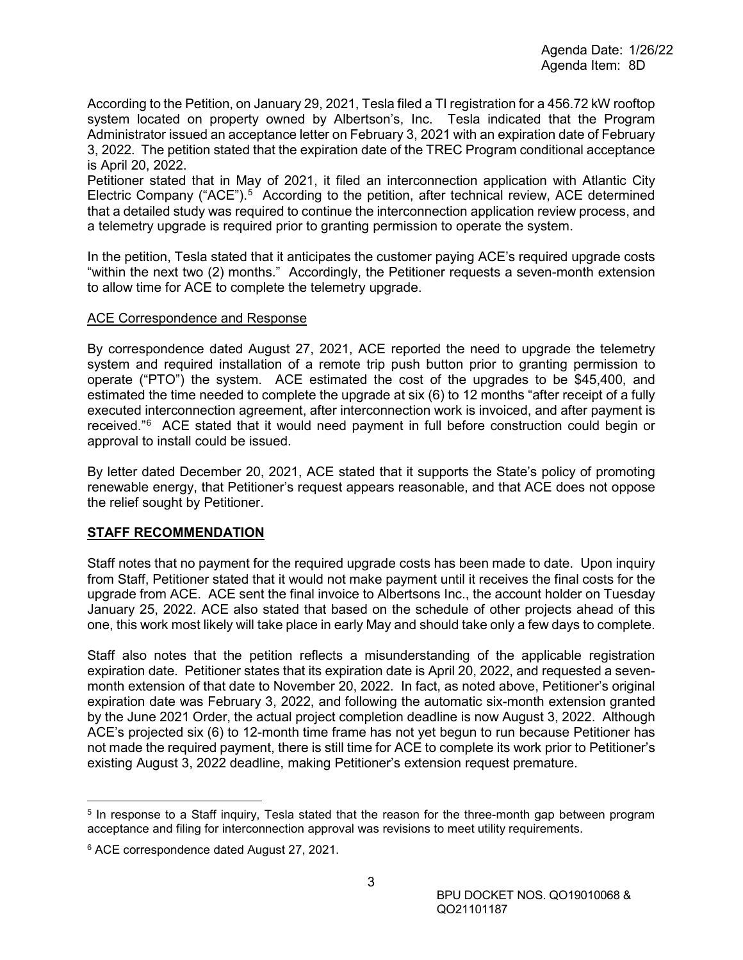According to the Petition, on January 29, 2021, Tesla filed a TI registration for a 456.72 kW rooftop system located on property owned by Albertson's, Inc. Tesla indicated that the Program Administrator issued an acceptance letter on February 3, 2021 with an expiration date of February 3, 2022. The petition stated that the expiration date of the TREC Program conditional acceptance is April 20, 2022.

Petitioner stated that in May of 2021, it filed an interconnection application with Atlantic City Electric Company ("ACE").<sup>[5](#page-2-0)</sup> According to the petition, after technical review, ACE determined that a detailed study was required to continue the interconnection application review process, and a telemetry upgrade is required prior to granting permission to operate the system.

In the petition, Tesla stated that it anticipates the customer paying ACE's required upgrade costs "within the next two (2) months." Accordingly, the Petitioner requests a seven-month extension to allow time for ACE to complete the telemetry upgrade.

#### ACE Correspondence and Response

By correspondence dated August 27, 2021, ACE reported the need to upgrade the telemetry system and required installation of a remote trip push button prior to granting permission to operate ("PTO") the system. ACE estimated the cost of the upgrades to be \$45,400, and estimated the time needed to complete the upgrade at six (6) to 12 months "after receipt of a fully executed interconnection agreement, after interconnection work is invoiced, and after payment is received."[6](#page-2-1) ACE stated that it would need payment in full before construction could begin or approval to install could be issued.

By letter dated December 20, 2021, ACE stated that it supports the State's policy of promoting renewable energy, that Petitioner's request appears reasonable, and that ACE does not oppose the relief sought by Petitioner.

### **STAFF RECOMMENDATION**

Staff notes that no payment for the required upgrade costs has been made to date. Upon inquiry from Staff, Petitioner stated that it would not make payment until it receives the final costs for the upgrade from ACE. ACE sent the final invoice to Albertsons Inc., the account holder on Tuesday January 25, 2022. ACE also stated that based on the schedule of other projects ahead of this one, this work most likely will take place in early May and should take only a few days to complete.

Staff also notes that the petition reflects a misunderstanding of the applicable registration expiration date. Petitioner states that its expiration date is April 20, 2022, and requested a sevenmonth extension of that date to November 20, 2022. In fact, as noted above, Petitioner's original expiration date was February 3, 2022, and following the automatic six-month extension granted by the June 2021 Order, the actual project completion deadline is now August 3, 2022. Although ACE's projected six (6) to 12-month time frame has not yet begun to run because Petitioner has not made the required payment, there is still time for ACE to complete its work prior to Petitioner's existing August 3, 2022 deadline, making Petitioner's extension request premature.

<span id="page-2-0"></span> <sup>5</sup> In response to a Staff inquiry, Tesla stated that the reason for the three-month gap between program acceptance and filing for interconnection approval was revisions to meet utility requirements.

<span id="page-2-1"></span><sup>6</sup> ACE correspondence dated August 27, 2021.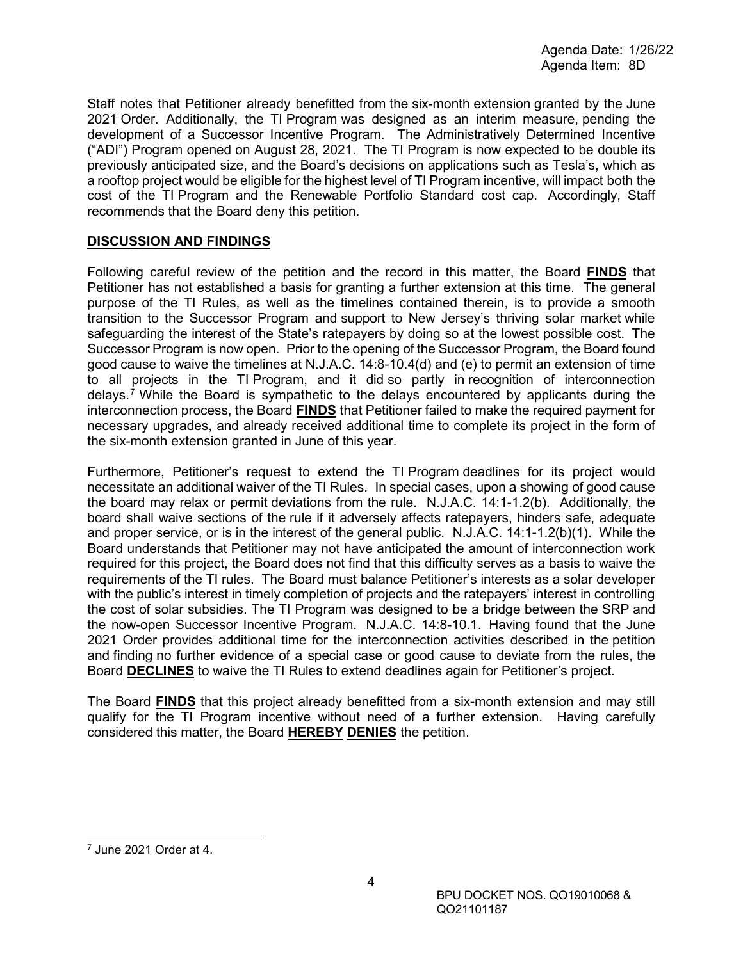Staff notes that Petitioner already benefitted from the six-month extension granted by the June 2021 Order. Additionally, the TI Program was designed as an interim measure, pending the development of a Successor Incentive Program. The Administratively Determined Incentive ("ADI") Program opened on August 28, 2021. The TI Program is now expected to be double its previously anticipated size, and the Board's decisions on applications such as Tesla's, which as a rooftop project would be eligible for the highest level of TI Program incentive, will impact both the cost of the TI Program and the Renewable Portfolio Standard cost cap. Accordingly, Staff recommends that the Board deny this petition.

### **DISCUSSION AND FINDINGS**

Following careful review of the petition and the record in this matter, the Board **FINDS** that Petitioner has not established a basis for granting a further extension at this time. The general purpose of the TI Rules, as well as the timelines contained therein, is to provide a smooth transition to the Successor Program and support to New Jersey's thriving solar market while safeguarding the interest of the State's ratepayers by doing so at the lowest possible cost. The Successor Program is now open. Prior to the opening of the Successor Program, the Board found good cause to waive the timelines at N.J.A.C. 14:8-10.4(d) and (e) to permit an extension of time to all projects in the TI Program, and it did so partly in recognition of interconnection delays. [7](#page-3-0) While the Board is sympathetic to the delays encountered by applicants during the interconnection process, the Board **FINDS** that Petitioner failed to make the required payment for necessary upgrades, and already received additional time to complete its project in the form of the six-month extension granted in June of this year.

Furthermore, Petitioner's request to extend the TI Program deadlines for its project would necessitate an additional waiver of the TI Rules. In special cases, upon a showing of good cause the board may relax or permit deviations from the rule. N.J.A.C. 14:1-1.2(b). Additionally, the board shall waive sections of the rule if it adversely affects ratepayers, hinders safe, adequate and proper service, or is in the interest of the general public. N.J.A.C. 14:1-1.2(b)(1). While the Board understands that Petitioner may not have anticipated the amount of interconnection work required for this project, the Board does not find that this difficulty serves as a basis to waive the requirements of the TI rules. The Board must balance Petitioner's interests as a solar developer with the public's interest in timely completion of projects and the ratepayers' interest in controlling the cost of solar subsidies. The TI Program was designed to be a bridge between the SRP and the now-open Successor Incentive Program. N.J.A.C. 14:8-10.1. Having found that the June 2021 Order provides additional time for the interconnection activities described in the petition and finding no further evidence of a special case or good cause to deviate from the rules, the Board **DECLINES** to waive the TI Rules to extend deadlines again for Petitioner's project.

The Board **FINDS** that this project already benefitted from a six-month extension and may still qualify for the TI Program incentive without need of a further extension. Having carefully considered this matter, the Board **HEREBY DENIES** the petition.

<span id="page-3-0"></span> <sup>7</sup> June 2021 Order at 4.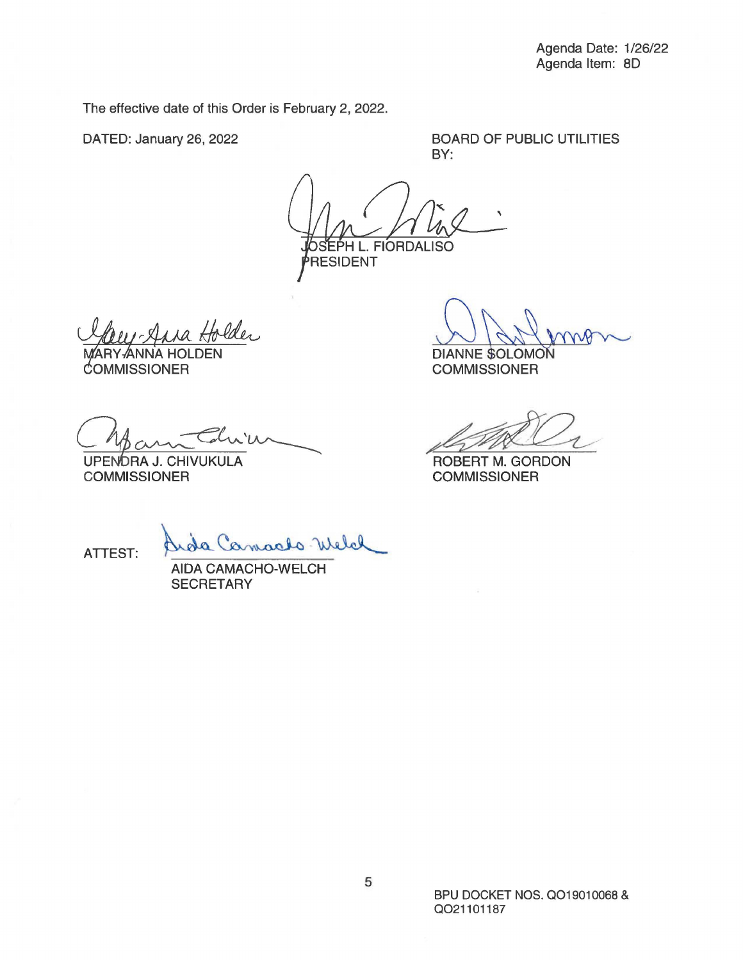The effective date of this Order is February 2, 2022.

DATED: January 26, 2022

BOARD OF PUBLIC UTILITIES BY:

' .. FIORDALISO **RESIDENT** 

 $\frac{Hole}{H}$ 

MARY-ANNA HOLDEN COMMISSIONER

DIANNE SOLOMON<br>COMMISSIONER<br>ROBERT M. GORDON<br>COMMISSIONER

Onform China

**COMMISSIONER** 

**COMMISSIONER** 

ATTEST: Quote Camarlo Welch

**SECRETARY**